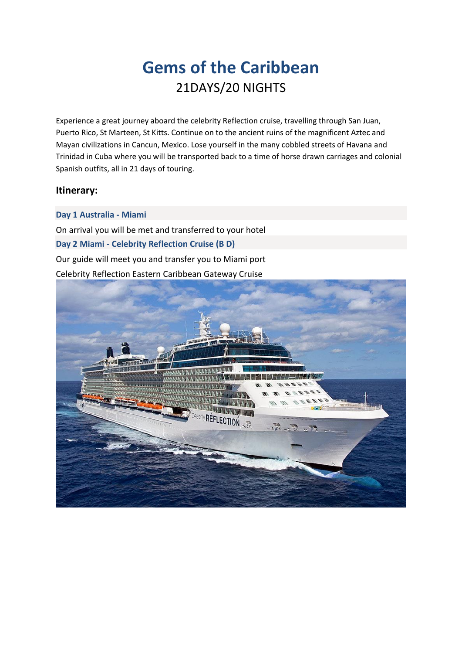# **Gems of the Caribbean** 21DAYS/20 NIGHTS

Experience a great journey aboard the celebrity Reflection cruise, travelling through San Juan, Puerto Rico, St Marteen, St Kitts. Continue on to the ancient ruins of the magnificent Aztec and Mayan civilizations in Cancun, Mexico. Lose yourself in the many cobbled streets of Havana and Trinidad in Cuba where you will be transported back to a time of horse drawn carriages and colonial Spanish outfits, all in 21 days of touring.

# **Itinerary:**

## **Day 1 Australia - Miami**

On arrival you will be met and transferred to your hotel **Day 2 Miami - Celebrity Reflection Cruise (B D)**  Our guide will meet you and transfer you to Miami port Celebrity Reflection Eastern Caribbean Gateway Cruise

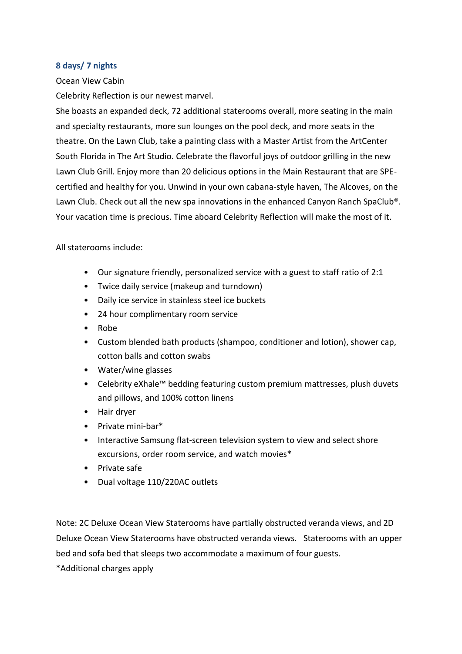#### **8 days/ 7 nights**

#### Ocean View Cabin

Celebrity Reflection is our newest marvel.

She boasts an expanded deck, 72 additional staterooms overall, more seating in the main and specialty restaurants, more sun lounges on the pool deck, and more seats in the theatre. On the Lawn Club, take a painting class with a Master Artist from the ArtCenter South Florida in The Art Studio. Celebrate the flavorful joys of outdoor grilling in the new Lawn Club Grill. Enjoy more than 20 delicious options in the Main Restaurant that are SPEcertified and healthy for you. Unwind in your own cabana-style haven, The Alcoves, on the Lawn Club. Check out all the new spa innovations in the enhanced Canyon Ranch SpaClub<sup>®</sup>. Your vacation time is precious. Time aboard Celebrity Reflection will make the most of it.

All staterooms include:

- Our signature friendly, personalized service with a guest to staff ratio of 2:1
- Twice daily service (makeup and turndown)
- Daily ice service in stainless steel ice buckets
- 24 hour complimentary room service
- Robe
- Custom blended bath products (shampoo, conditioner and lotion), shower cap, cotton balls and cotton swabs
- Water/wine glasses
- Celebrity eXhale™ bedding featuring custom premium mattresses, plush duvets and pillows, and 100% cotton linens
- Hair dryer
- Private mini-bar\*
- Interactive Samsung flat-screen television system to view and select shore excursions, order room service, and watch movies\*
- Private safe
- Dual voltage 110/220AC outlets

Note: 2C Deluxe Ocean View Staterooms have partially obstructed veranda views, and 2D Deluxe Ocean View Staterooms have obstructed veranda views. Staterooms with an upper bed and sofa bed that sleeps two accommodate a maximum of four guests.

\*Additional charges apply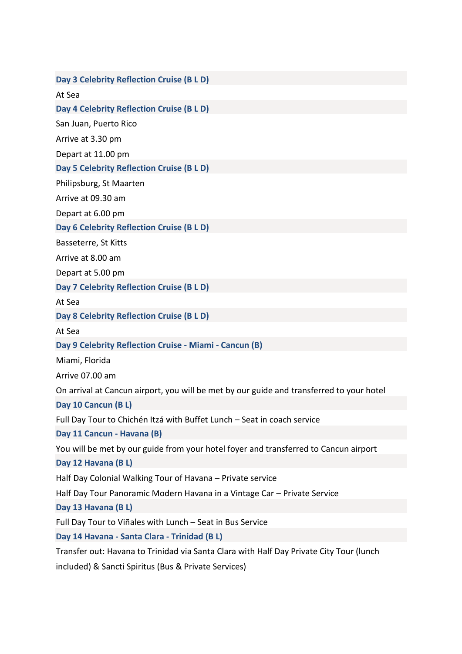**Day 3 Celebrity Reflection Cruise (B L D)**  At Sea **Day 4 Celebrity Reflection Cruise (B L D)**  San Juan, Puerto Rico Arrive at 3.30 pm Depart at 11.00 pm **Day 5 Celebrity Reflection Cruise (B L D)** Philipsburg, St Maarten Arrive at 09.30 am Depart at 6.00 pm **Day 6 Celebrity Reflection Cruise (B L D)** Basseterre, St Kitts Arrive at 8.00 am Depart at 5.00 pm **Day 7 Celebrity Reflection Cruise (B L D)**  At Sea **Day 8 Celebrity Reflection Cruise (B L D)** At Sea **Day 9 Celebrity Reflection Cruise - Miami - Cancun (B)** Miami, Florida Arrive 07.00 am On arrival at Cancun airport, you will be met by our guide and transferred to your hotel **Day 10 Cancun (B L)**  Full Day Tour to Chichén Itzá with Buffet Lunch – Seat in coach service **Day 11 Cancun - Havana (B)** You will be met by our guide from your hotel foyer and transferred to Cancun airport **Day 12 Havana (B L)**  Half Day Colonial Walking Tour of Havana – Private service Half Day Tour Panoramic Modern Havana in a Vintage Car – Private Service **Day 13 Havana (B L)**  Full Day Tour to Viñales with Lunch – Seat in Bus Service **Day 14 Havana - Santa Clara - Trinidad (B L)**  Transfer out: Havana to Trinidad via Santa Clara with Half Day Private City Tour (lunch included) & Sancti Spiritus (Bus & Private Services)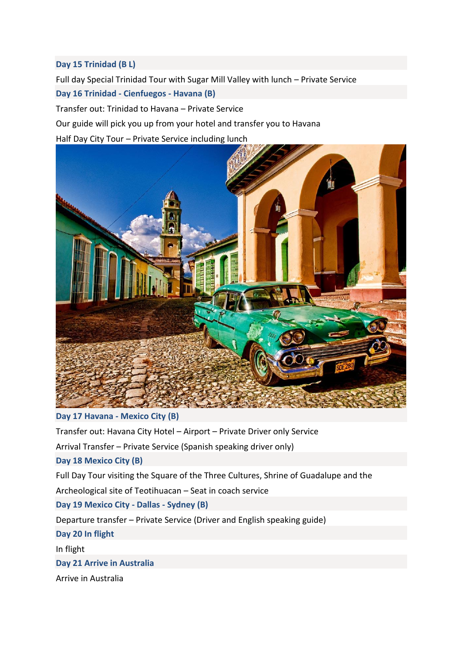#### **Day 15 Trinidad (B L)**

Full day Special Trinidad Tour with Sugar Mill Valley with lunch – Private Service **Day 16 Trinidad - Cienfuegos - Havana (B)** 

Transfer out: Trinidad to Havana – Private Service

Our guide will pick you up from your hotel and transfer you to Havana

Half Day City Tour – Private Service including lunch



## **Day 17 Havana - Mexico City (B)**

Transfer out: Havana City Hotel – Airport – Private Driver only Service Arrival Transfer – Private Service (Spanish speaking driver only) **Day 18 Mexico City (B)**  Full Day Tour visiting the Square of the Three Cultures, Shrine of Guadalupe and the Archeological site of Teotihuacan – Seat in coach service **Day 19 Mexico City - Dallas - Sydney (B)**  Departure transfer – Private Service (Driver and English speaking guide) **Day 20 In flight**  In flight **Day 21 Arrive in Australia**

Arrive in Australia